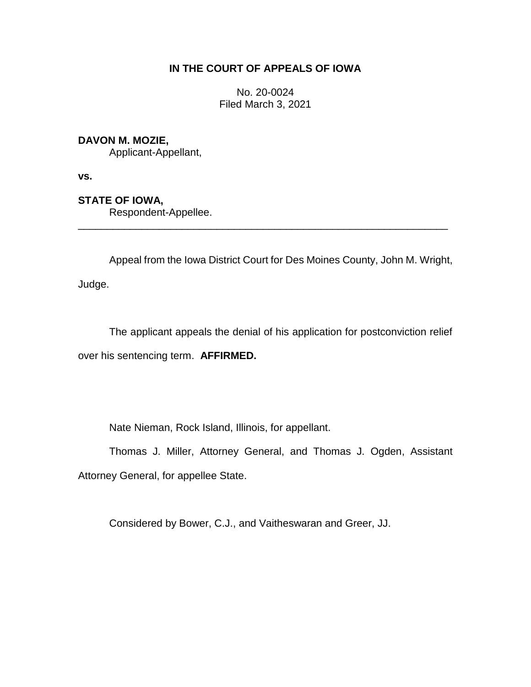# **IN THE COURT OF APPEALS OF IOWA**

No. 20-0024 Filed March 3, 2021

### **DAVON M. MOZIE,**

Applicant-Appellant,

**vs.**

# **STATE OF IOWA,**

Respondent-Appellee.

Appeal from the Iowa District Court for Des Moines County, John M. Wright,

\_\_\_\_\_\_\_\_\_\_\_\_\_\_\_\_\_\_\_\_\_\_\_\_\_\_\_\_\_\_\_\_\_\_\_\_\_\_\_\_\_\_\_\_\_\_\_\_\_\_\_\_\_\_\_\_\_\_\_\_\_\_\_\_

Judge.

The applicant appeals the denial of his application for postconviction relief over his sentencing term. **AFFIRMED.**

Nate Nieman, Rock Island, Illinois, for appellant.

Thomas J. Miller, Attorney General, and Thomas J. Ogden, Assistant Attorney General, for appellee State.

Considered by Bower, C.J., and Vaitheswaran and Greer, JJ.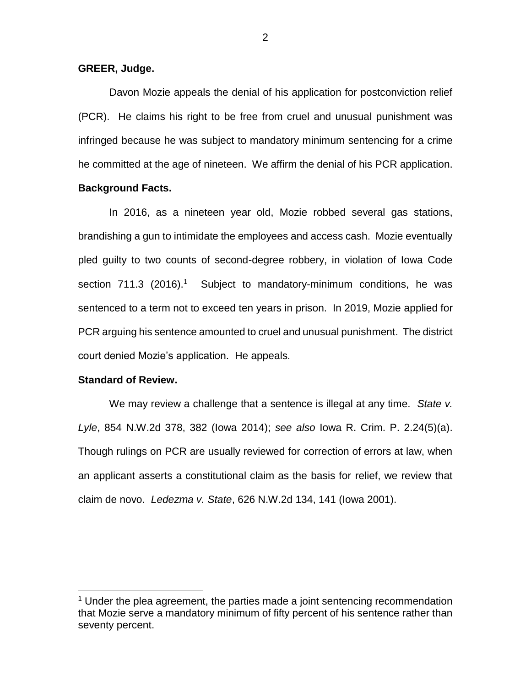### **GREER, Judge.**

Davon Mozie appeals the denial of his application for postconviction relief (PCR). He claims his right to be free from cruel and unusual punishment was infringed because he was subject to mandatory minimum sentencing for a crime he committed at the age of nineteen. We affirm the denial of his PCR application.

### **Background Facts.**

In 2016, as a nineteen year old, Mozie robbed several gas stations, brandishing a gun to intimidate the employees and access cash. Mozie eventually pled guilty to two counts of second-degree robbery, in violation of Iowa Code section  $711.3$  (2016).<sup>1</sup> Subject to mandatory-minimum conditions, he was sentenced to a term not to exceed ten years in prison. In 2019, Mozie applied for PCR arguing his sentence amounted to cruel and unusual punishment. The district court denied Mozie's application. He appeals.

#### **Standard of Review.**

 $\overline{a}$ 

We may review a challenge that a sentence is illegal at any time. *State v. Lyle*, 854 N.W.2d 378, 382 (Iowa 2014); *see also* Iowa R. Crim. P. 2.24(5)(a). Though rulings on PCR are usually reviewed for correction of errors at law, when an applicant asserts a constitutional claim as the basis for relief, we review that claim de novo. *Ledezma v. State*, 626 N.W.2d 134, 141 (Iowa 2001).

 $1$  Under the plea agreement, the parties made a joint sentencing recommendation that Mozie serve a mandatory minimum of fifty percent of his sentence rather than seventy percent.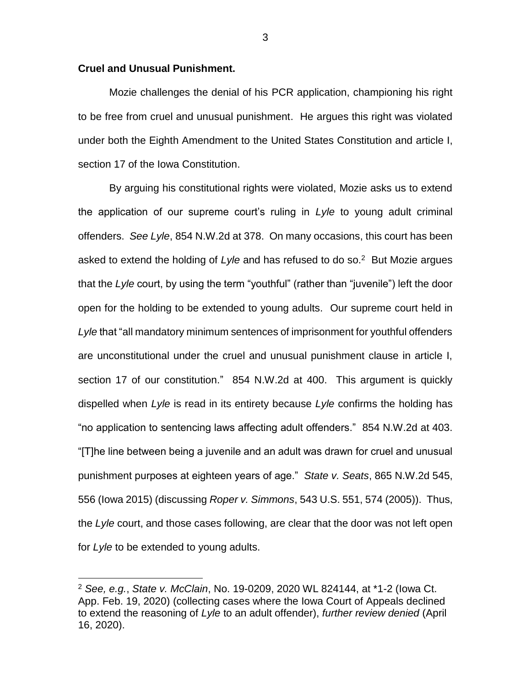### **Cruel and Unusual Punishment.**

 $\overline{a}$ 

Mozie challenges the denial of his PCR application, championing his right to be free from cruel and unusual punishment. He argues this right was violated under both the Eighth Amendment to the United States Constitution and article I, section 17 of the Iowa Constitution.

By arguing his constitutional rights were violated, Mozie asks us to extend the application of our supreme court's ruling in *Lyle* to young adult criminal offenders. *See Lyle*, 854 N.W.2d at 378. On many occasions, this court has been asked to extend the holding of *Lyle* and has refused to do so.<sup>2</sup> But Mozie argues that the *Lyle* court, by using the term "youthful" (rather than "juvenile") left the door open for the holding to be extended to young adults. Our supreme court held in *Lyle* that "all mandatory minimum sentences of imprisonment for youthful offenders are unconstitutional under the cruel and unusual punishment clause in article I, section 17 of our constitution." 854 N.W.2d at 400. This argument is quickly dispelled when *Lyle* is read in its entirety because *Lyle* confirms the holding has "no application to sentencing laws affecting adult offenders." 854 N.W.2d at 403. "[T]he line between being a juvenile and an adult was drawn for cruel and unusual punishment purposes at eighteen years of age." *State v. Seats*, 865 N.W.2d 545, 556 (Iowa 2015) (discussing *Roper v. Simmons*, 543 U.S. 551, 574 (2005)). Thus, the *Lyle* court, and those cases following, are clear that the door was not left open for *Lyle* to be extended to young adults.

3

<sup>2</sup> *See, e.g.*, *State v. McClain*, No. 19-0209, 2020 WL 824144, at \*1-2 (Iowa Ct. App. Feb. 19, 2020) (collecting cases where the Iowa Court of Appeals declined to extend the reasoning of *Lyle* to an adult offender), *further review denied* (April 16, 2020).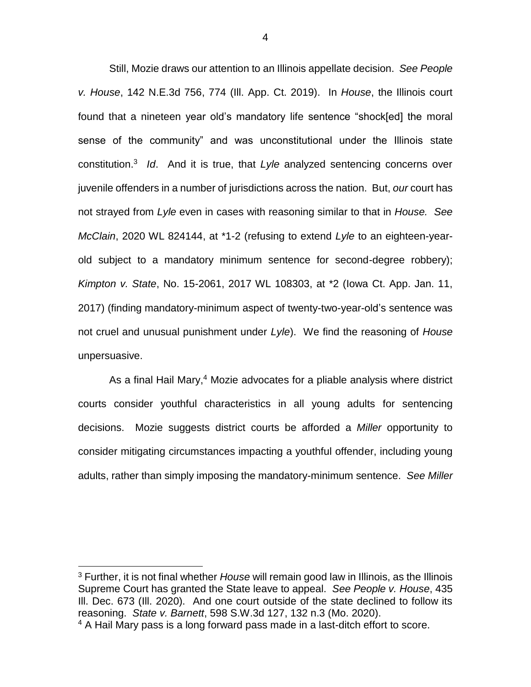Still, Mozie draws our attention to an Illinois appellate decision. *See People v. House*, 142 N.E.3d 756, 774 (Ill. App. Ct. 2019). In *House*, the Illinois court found that a nineteen year old's mandatory life sentence "shock[ed] the moral sense of the community" and was unconstitutional under the Illinois state constitution.<sup>3</sup> *Id*. And it is true, that *Lyle* analyzed sentencing concerns over juvenile offenders in a number of jurisdictions across the nation. But, *our* court has not strayed from *Lyle* even in cases with reasoning similar to that in *House. See McClain*, 2020 WL 824144, at \*1-2 (refusing to extend *Lyle* to an eighteen-yearold subject to a mandatory minimum sentence for second-degree robbery); *Kimpton v. State*, No. 15-2061, 2017 WL 108303, at \*2 (Iowa Ct. App. Jan. 11, 2017) (finding mandatory-minimum aspect of twenty-two-year-old's sentence was not cruel and unusual punishment under *Lyle*). We find the reasoning of *House* unpersuasive.

As a final Hail Mary,<sup>4</sup> Mozie advocates for a pliable analysis where district courts consider youthful characteristics in all young adults for sentencing decisions. Mozie suggests district courts be afforded a *Miller* opportunity to consider mitigating circumstances impacting a youthful offender, including young adults, rather than simply imposing the mandatory-minimum sentence. *See Miller*

 $\overline{a}$ 

<sup>3</sup> Further, it is not final whether *House* will remain good law in Illinois, as the Illinois Supreme Court has granted the State leave to appeal. *See People v. House*, 435 Ill. Dec. 673 (Ill. 2020). And one court outside of the state declined to follow its reasoning. *State v. Barnett*, 598 S.W.3d 127, 132 n.3 (Mo. 2020).

<sup>&</sup>lt;sup>4</sup> A Hail Mary pass is a long forward pass made in a last-ditch effort to score.